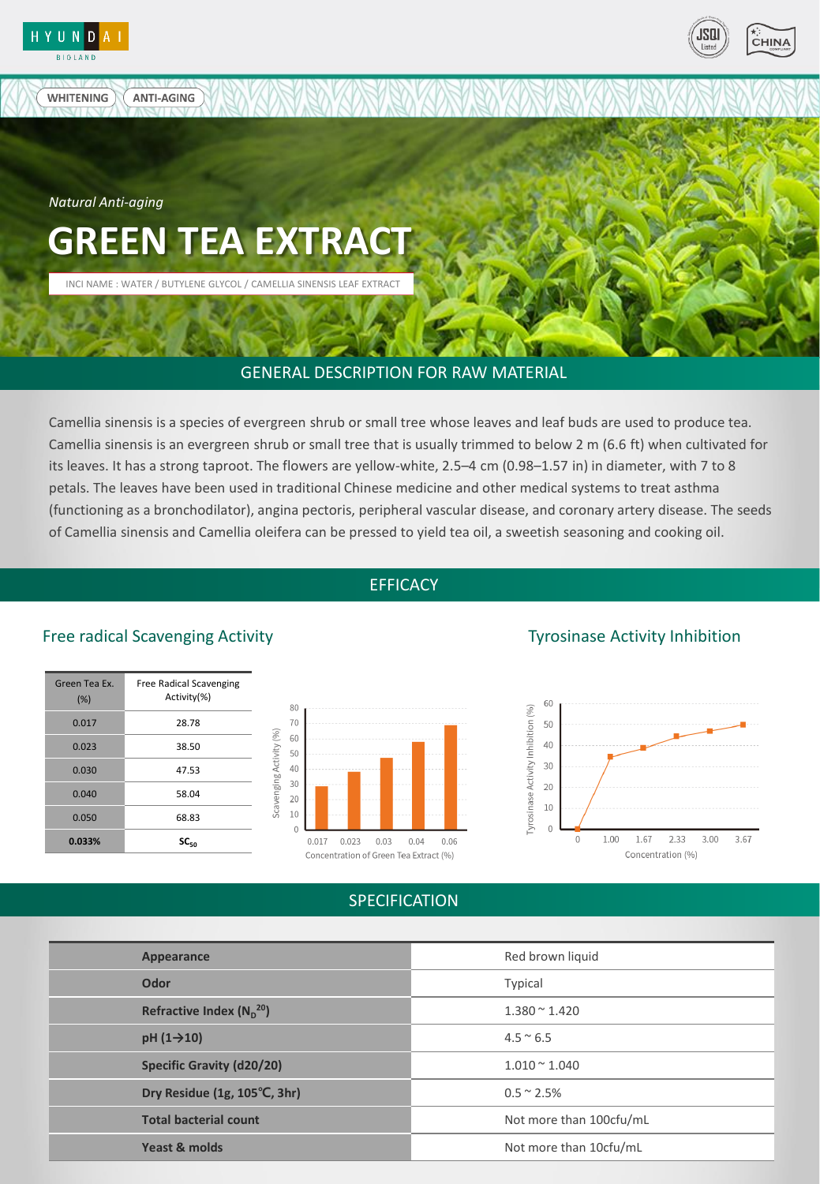

**WHITENING** 



*Natural Anti-aging* 

**ANTI-AGING** 

# **GREEN TEA EXTRACT**

INCI NAME : WATER / BUTYLENE GLYCOL / CAMELLIA SINENSIS LEAF EXTRACT

#### GENERAL DESCRIPTION FOR RAW MATERIAL

Camellia sinensis is a species of evergreen shrub or small tree whose leaves and leaf buds are used to produce tea. Camellia sinensis is an evergreen shrub or small tree that is usually trimmed to below 2 m (6.6 ft) when cultivated for its leaves. It has a strong taproot. The flowers are yellow-white, 2.5–4 cm (0.98–1.57 in) in diameter, with 7 to 8 petals. The leaves have been used in traditional Chinese medicine and other medical systems to treat asthma (functioning as a bronchodilator), angina pectoris, peripheral vascular disease, and coronary artery disease. The seeds of Camellia sinensis and Camellia oleifera can be pressed to yield tea oil, a sweetish seasoning and cooking oil.

#### **EFFICACY**

### Free radical Scavenging Activity Tyrosinase Activity Inhibition

| Green Tea Ex.<br>(% ) | Free Radical Scavenging<br>Activity(%) |
|-----------------------|----------------------------------------|
| 0.017                 | 28.78                                  |
| 0.023                 | 38.50                                  |
| 0.030                 | 47.53                                  |
| 0.040                 | 58.04                                  |
| 0.050                 | 68.83                                  |
| 0.033%                | $SC_{50}$                              |





#### SPECIFICATION

| Appearance                       | Red brown liquid        |
|----------------------------------|-------------------------|
| Odor                             | Typical                 |
| Refractive Index $(N_p^{20})$    | $1.380 \times 1.420$    |
| $pH(1\rightarrow 10)$            | $4.5 \approx 6.5$       |
| <b>Specific Gravity (d20/20)</b> | $1.010 \times 1.040$    |
| Dry Residue (1g, 105°C, 3hr)     | $0.5 \approx 2.5\%$     |
| <b>Total bacterial count</b>     | Not more than 100cfu/mL |
| Yeast & molds                    | Not more than 10cfu/mL  |